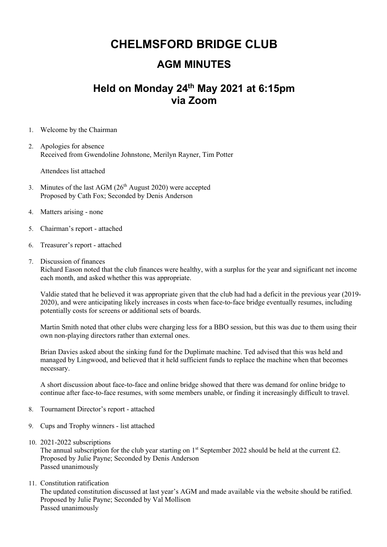## **CHELMSFORD BRIDGE CLUB**

## **AGM MINUTES**

## **Held on Monday 24th May 2021 at 6:15pm via Zoom**

- 1. Welcome by the Chairman
- 2. Apologies for absence Received from Gwendoline Johnstone, Merilyn Rayner, Tim Potter

Attendees list attached

- 3. Minutes of the last AGM  $(26<sup>th</sup>$  August 2020) were accepted Proposed by Cath Fox; Seconded by Denis Anderson
- 4. Matters arising none
- 5. Chairman's report attached
- 6. Treasurer's report attached
- 7. Discussion of finances Richard Eason noted that the club finances were healthy, with a surplus for the year and significant net income each month, and asked whether this was appropriate.

Valdie stated that he believed it was appropriate given that the club had had a deficit in the previous year (2019- 2020), and were anticipating likely increases in costs when face-to-face bridge eventually resumes, including potentially costs for screens or additional sets of boards.

Martin Smith noted that other clubs were charging less for a BBO session, but this was due to them using their own non-playing directors rather than external ones.

Brian Davies asked about the sinking fund for the Duplimate machine. Ted advised that this was held and managed by Lingwood, and believed that it held sufficient funds to replace the machine when that becomes necessary.

A short discussion about face-to-face and online bridge showed that there was demand for online bridge to continue after face-to-face resumes, with some members unable, or finding it increasingly difficult to travel.

- 8. Tournament Director's report attached
- 9. Cups and Trophy winners list attached
- 10. 2021-2022 subscriptions

The annual subscription for the club year starting on  $1<sup>st</sup>$  September 2022 should be held at the current £2. Proposed by Julie Payne; Seconded by Denis Anderson Passed unanimously

11. Constitution ratification

The updated constitution discussed at last year's AGM and made available via the website should be ratified. Proposed by Julie Payne; Seconded by Val Mollison Passed unanimously